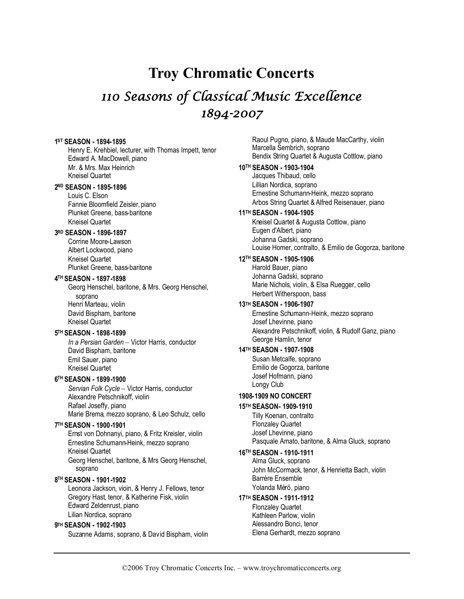# **Troy Chromatic Concerts** 110 Seasons of Classical Music Excellence 1894-2007

#### **1 ST SEASON - 1894-1895**

Henry E. Krehbiel, lecturer, with Thomas Impett, tenor Edward A. MacDowell, piano Mr. & Mrs. Max Heinrich Kneisel Quartet

#### **2 ND SEASON - 1895-1896**

Louis C. Elson Fannie Bloomfield Zeisler, piano Plunket Greene, bass-baritone Kneisel Quartet

#### **3RD SEASON - 1896-1897**

Corrine Moore-Lawson Albert Lockwood, piano Kneisel Quartet Plunket Greene, bass-baritone

#### **4 TH SEASON - 1897-1898**

Georg Henschel, baritone, & Mrs. Georg Henschel, soprano Henri Marteau, violin David Bispham, baritone Kneisel Quartet

#### **5 TH SEASON - 1898-1899**

*In a Persian Garden* - Victor Harris, conductor David Bispham, baritone Emil Sauer, piano Kneisel Quartet

#### **6 TH SEASON - 1899-1900**

*Servian Folk Cycle* - Victor Harris, conductor Alexandre Petschnikoff, violin Rafael Joseffy, piano Marie Brema, mezzo soprano, & Leo Schulz, cello

#### **7 TH SEASON - 1900-1901**

Ernst von Dohnanyi, piano, & Fritz Kreisler, violin Ernestine Schumann-Heink, mezzo soprano Kneisel Quartet Georg Henschel, baritone, & Mrs Georg Henschel, soprano

#### **8 TH SEASON - 1901-1902**

Leonora Jackson, vioin, & Henry J. Fellows, tenor Gregory Hast, tenor, & Katherine Fisk, violin Edward Zeldenrust, piano Lilian Nordica, soprano

#### **9TH SEASON - 1902-1903**

Suzanne Adams, soprano, & David Bispham, violin

Raoul Pugno, piano, & Maude MacCarthy, violin Marcella Sembrich, soprano Bendix String Quartet & Augusta Cottlow, piano **10TH SEASON - 1903-1904** Jacques Thibaud, cello Lillian Nordica, soprano Ernestine Schumann-Heink, mezzo soprano Arbos String Quartet & Alfred Reisenauer, piano **11TH SEASON - 1904-1905** Kneisel Quartet & Augusta Cottlow, piano Eugen d'Albert, piano Johanna Gadski, soprano Louise Homer, contralto, & Emilio de Gogorza, baritone **12TH SEASON - 1905-1906** Harold Bauer, piano Johanna Gadski, soprano Marie Nichols, violin, & Elsa Ruegger, cello Herbert Witherspoon, bass **13TH SEASON - 1906-1907** Ernestine Schumann-Heink, mezzo soprano Josef Lhevinne, piano Alexandre Petschnikoff, violin, & Rudolf Ganz, piano George Hamlin, tenor **14TH SEASON - 1907-1908** Susan Metcalfe, soprano Emilio de Gogorza, baritone Josef Hofmann, piano Longy Club **1908-1909 NO CONCERT 15TH SEASON- 1909-1910** Tilly Koenan, contralto Flonzaley Quartet Josef Lhevinne, piano Pasquale Amato, baritone, & Alma Gluck, soprano **16TH SEASON - 1910-1911** Alma Gluck, soprano John McCormack, tenor, & Henrietta Bach, violin Barrère Ensemble Yolanda Mèrö, piano **17TH SEASON - 1911-1912** Flonzaley Quartet Kathleen Parlow, violin Alessandro Bonci, tenor Elena Gerhardt, mezzo soprano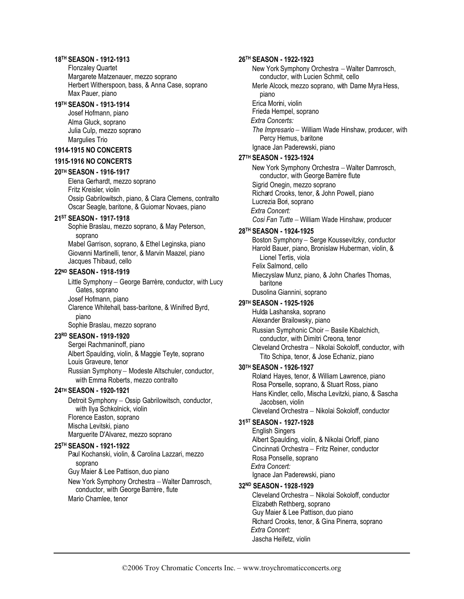#### **18TH SEASON - 1912-1913**

Flonzaley Quartet Margarete Matzenauer, mezzo soprano Herbert Witherspoon, bass, & Anna Case, soprano Max Pauer, piano

#### **19TH SEASON - 1913-1914**

Josef Hofmann, piano Alma Gluck, soprano Julia Culp, mezzo soprano Margulies Trio

# **1914-1915 NO CONCERTS**

# **1915-1916 NO CONCERTS**

#### **20TH SEASON - 1916-1917**

Elena Gerhardt, mezzo soprano Fritz Kreisler, violin Ossip Gabrilowitsch, piano, & Clara Clemens, contralto Oscar Seagle, baritone, & Guiomar Novaes, piano

#### **21ST SEASON - 1917-1918**

Sophie Braslau, mezzo soprano, & May Peterson, soprano

Mabel Garrison, soprano, & Ethel Leginska, piano Giovanni Martinelli, tenor, & Marvin Maazel, piano Jacques Thibaud, cello

#### **22ND SEASON- 1918-1919**

Little Symphony - George Barrère, conductor, with Lucy Gates, soprano Josef Hofmann, piano Clarence Whitehall, bass-baritone, & Winifred Byrd, piano Sophie Braslau, mezzo soprano

#### **23RD SEASON- 1919-1920**

Sergei Rachmaninoff, piano Albert Spaulding, violin, & Maggie Teyte, soprano Louis Graveure, tenor Russian Symphony - Modeste Altschuler, conductor, with Emma Roberts, mezzo contralto

#### **24TH SEASON - 1920-1921**

Detroit Symphony - Ossip Gabrilowitsch, conductor, with Ilya Schkolnick, violin Florence Easton, soprano Mischa Levitski, piano Marguerite D'Alvarez, mezzo soprano

#### **25TH SEASON - 1921-1922**

Paul Kochanski, violin, & Carolina Lazzari, mezzo soprano

Guy Maier & Lee Pattison, duo piano

New York Symphony Orchestra - Walter Damrosch, conductor, with George Barrère, flute Mario Chamlee, tenor

#### **26TH SEASON - 1922-1923**

New York Symphony Orchestra - Walter Damrosch, conductor, with Lucien Schmit, cello Merle Alcock, mezzo soprano, with Dame Myra Hess, piano Erica Morini, violin

Frieda Hempel, soprano

*Extra Concerts:*

*The Impresario* - William Wade Hinshaw, producer, with Percy Hemus, baritone

Ignace Jan Paderewski, piano

### **27TH SEASON - 1923-1924**

New York Symphony Orchestra - Walter Damrosch, conductor, with George Barrère flute Sigrid Onegin, mezzo soprano Richard Crooks, tenor, & John Powell, piano Lucrezia Bori, soprano *Extra Concert: Cosi Fan Tutte* - William Wade Hinshaw, producer **28TH SEASON - 1924-1925**

Boston Symphony - Serge Koussevitzky, conductor Harold Bauer, piano, Bronislaw Huberman, violin, & Lionel Tertis, viola Felix Salmond, cello Mieczyslaw Munz, piano, & John Charles Thomas, baritone Dusolina Giannini, soprano

#### **29TH SEASON - 1925-1926**

Hulda Lashanska, soprano Alexander Brailowsky, piano

Russian Symphonic Choir - Basile Kibalchich, conductor, with Dimitri Creona, tenor Cleveland Orchestra - Nikolai Sokoloff, conductor, with

Tito Schipa, tenor, & Jose Echaniz, piano

#### **30TH SEASON - 1926-1927**

Roland Hayes, tenor, & William Lawrence, piano Rosa Ponselle, soprano, & Stuart Ross, piano Hans Kindler, cello, Mischa Levitzki, piano, & Sascha Jacobsen, violin

Cleveland Orchestra - Nikolai Sokoloff, conductor

#### **31ST SEASON - 1927-1928**

English Singers Albert Spaulding, violin, & Nikolai Orloff, piano Cincinnati Orchestra - Fritz Reiner, conductor Rosa Ponselle, soprano *Extra Concert:* Ignace Jan Paderewski, piano

#### **32ND SEASON- 1928-1929**

Cleveland Orchestra - Nikolai Sokoloff, conductor Elizabeth Rethberg, soprano Guy Maier & Lee Pattison, duo piano Richard Crooks, tenor, & Gina Pinerra, soprano *Extra Concert:* Jascha Heifetz, violin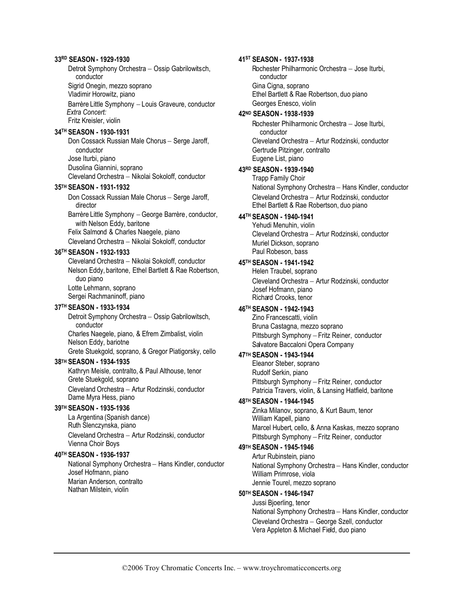#### **33RD SEASON- 1929-1930**

Detroit Symphony Orchestra - Ossip Gabrilowitsch, conductor Sigrid Onegin, mezzo soprano Vladimir Horowitz, piano Barrère Little Symphony - Louis Graveure, conductor *Extra Concert:* Fritz Kreisler, violin

#### **34TH SEASON - 1930-1931**

Don Cossack Russian Male Chorus - Serge Jaroff, conductor Jose Iturbi, piano Dusolina Giannini, soprano Cleveland Orchestra - Nikolai Sokoloff, conductor

#### **35TH SEASON - 1931-1932**

Don Cossack Russian Male Chorus - Serge Jaroff, director Barrère Little Symphony - George Barrère, conductor,

with Nelson Eddy, baritone Felix Salmond & Charles Naegele, piano

Cleveland Orchestra - Nikolai Sokoloff, conductor

#### **36TH SEASON - 1932-1933**

Cleveland Orchestra - Nikolai Sokoloff, conductor Nelson Eddy, baritone, Ethel Bartlett & Rae Robertson, duo piano Lotte Lehmann, soprano Sergei Rachmaninoff, piano

#### **37TH SEASON - 1933-1934**

Detroit Symphony Orchestra - Ossip Gabrilowitsch, conductor Charles Naegele, piano, & Efrem Zimbalist, violin

Nelson Eddy, bariotne

Grete Stuekgold, soprano, & Gregor Piatigorsky, cello

#### **38TH SEASON - 1934-1935**

Kathryn Meisle, contralto, & Paul Althouse, tenor Grete Stuekgold, soprano

Cleveland Orchestra - Artur Rodzinski, conductor Dame Myra Hess, piano

#### **39TH SEASON - 1935-1936**

La Argentina (Spanish dance) Ruth Slenczynska, piano Cleveland Orchestra - Artur Rodzinski, conductor Vienna Choir Boys

#### **40TH SEASON - 1936-1937**

National Symphony Orchestra - Hans Kindler, conductor Josef Hofmann, piano Marian Anderson, contralto Nathan Milstein, violin

#### **41ST SEASON - 1937-1938**

Rochester Philharmonic Orchestra - Jose Iturbi, conductor Gina Cigna, soprano Ethel Bartlett & Rae Robertson, duo piano Georges Enesco, violin

#### **42ND SEASON- 1938-1939**

Rochester Philharmonic Orchestra - Jose Iturbi, conductor Cleveland Orchestra - Artur Rodzinski, conductor Gertrude Pitzinger, contralto Eugene List, piano

#### **43RD SEASON- 1939-1940**

Trapp Family Choir National Symphony Orchestra - Hans Kindler, conductor Cleveland Orchestra - Artur Rodzinski, conductor Ethel Bartlett & Rae Robertson, duo piano

#### **44TH SEASON - 1940-1941**

Yehudi Menuhin, violin Cleveland Orchestra - Artur Rodzinski, conductor Muriel Dickson, soprano Paul Robeson, bass

#### **45TH SEASON - 1941-1942**

Helen Traubel, soprano Cleveland Orchestra - Artur Rodzinski, conductor Josef Hofmann, piano Richard Crooks, tenor

#### **46TH SEASON - 1942-1943**

Zino Francescatti, violin Bruna Castagna, mezzo soprano Pittsburgh Symphony - Fritz Reiner, conductor Salvatore Baccaloni Opera Company

#### **47TH SEASON - 1943-1944**

Eleanor Steber, soprano Rudolf Serkin, piano Pittsburgh Symphony - Fritz Reiner, conductor Patricia Travers, violin, & Lansing Hatfield, baritone

#### **48TH SEASON - 1944-1945**

Zinka Milanov, soprano, & Kurt Baum, tenor William Kapell, piano Marcel Hubert, cello, & Anna Kaskas, mezzo soprano Pittsburgh Symphony - Fritz Reiner, conductor

#### **49TH SEASON - 1945-1946**

Artur Rubinstein, piano National Symphony Orchestra - Hans Kindler, conductor William Primrose, viola Jennie Tourel, mezzo soprano

#### **50TH SEASON - 1946-1947**

Jussi Bjoerling, tenor National Symphony Orchestra - Hans Kindler, conductor Cleveland Orchestra - George Szell, conductor Vera Appleton & Michael Field, duo piano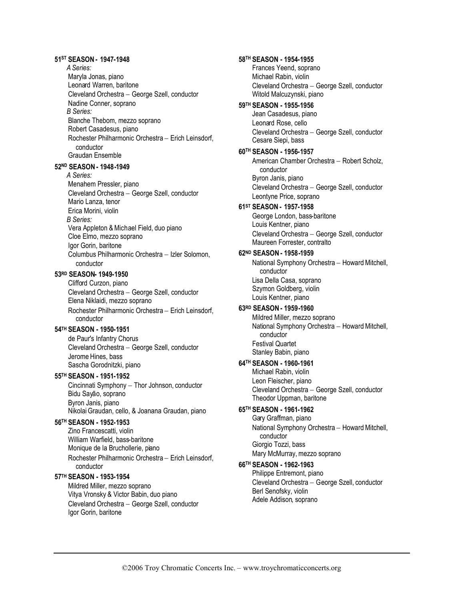#### **51ST SEASON - 1947-1948**

*A Series:* Maryla Jonas, piano Leonard Warren, baritone Cleveland Orchestra - George Szell, conductor Nadine Conner, soprano *B Series:* Blanche Thebom, mezzo soprano Robert Casadesus, piano Rochester Philharmonic Orchestra - Erich Leinsdorf, conductor Graudan Ensemble

#### **52ND SEASON- 1948-1949**

*A Series:* Menahem Pressler, piano Cleveland Orchestra - George Szell, conductor Mario Lanza, tenor Erica Morini, violin *B Series:* Vera Appleton & Michael Field, duo piano Cloe Elmo, mezzo soprano Igor Gorin, baritone Columbus Philharmonic Orchestra - Izler Solomon, conductor

#### **53RD SEASON- 1949-1950**

Clifford Curzon, piano Cleveland Orchestra - George Szell, conductor Elena Niklaidi, mezzo soprano Rochester Philharmonic Orchestra - Erich Leinsdorf, conductor

#### **54TH SEASON - 1950-1951**

de Paur's Infantry Chorus Cleveland Orchestra - George Szell, conductor Jerome Hines, bass Sascha Gorodnitzki, piano

#### **55TH SEASON - 1951-1952**

Cincinnati Symphony - Thor Johnson, conductor Bidu Sayão, soprano Byron Janis, piano NikolaiGraudan, cello, & Joanana Graudan, piano

#### **56TH SEASON - 1952-1953**

Zino Francescatti, violin William Warfield, bass-baritone Monique de la Bruchollerie, piano Rochester Philharmonic Orchestra - Erich Leinsdorf, conductor

#### **57TH SEASON - 1953-1954**

Mildred Miller, mezzo soprano Vitya Vronsky & Victor Babin, duo piano Cleveland Orchestra - George Szell, conductor Igor Gorin, baritone

**58TH SEASON - 1954-1955** Frances Yeend, soprano Michael Rabin, violin Cleveland Orchestra - George Szell, conductor Witold Malcuzynski, piano **59TH SEASON - 1955-1956** Jean Casadesus, piano Leonard Rose, cello Cleveland Orchestra - George Szell, conductor Cesare Siepi, bass **60TH SEASON - 1956-1957** American Chamber Orchestra - Robert Scholz, conductor Byron Janis, piano Cleveland Orchestra - George Szell, conductor Leontyne Price, soprano **61ST SEASON - 1957-1958** George London, bass-baritone Louis Kentner, piano Cleveland Orchestra - George Szell, conductor Maureen Forrester, contralto **62ND SEASON- 1958-1959** National Symphony Orchestra - Howard Mitchell, conductor Lisa Della Casa, soprano Szymon Goldberg, violin Louis Kentner, piano **63RD SEASON- 1959-1960** Mildred Miller, mezzo soprano National Symphony Orchestra - Howard Mitchell, conductor Festival Quartet Stanley Babin, piano **64TH SEASON - 1960-1961** Michael Rabin, violin Leon Fleischer, piano Cleveland Orchestra - George Szell, conductor Theodor Uppman, baritone **65TH SEASON - 1961-1962** Gary Graffman, piano National Symphony Orchestra - Howard Mitchell, conductor Giorgio Tozzi, bass Mary McMurray, mezzo soprano **66TH SEASON - 1962-1963** Philippe Entremont, piano Cleveland Orchestra - George Szell, conductor

Berl Senofsky, violin Adele Addison, soprano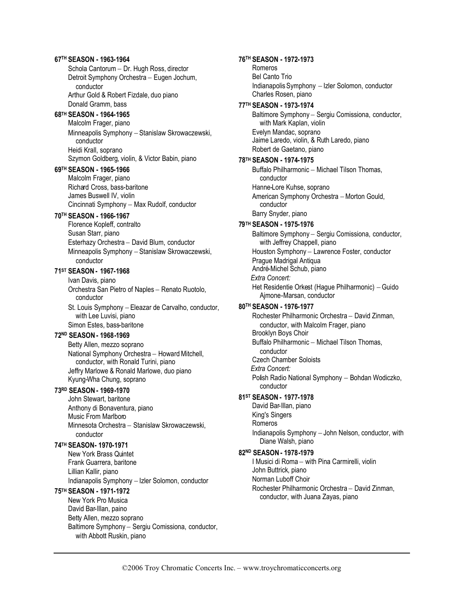#### **67TH SEASON - 1963-1964**

Schola Cantorum - Dr. Hugh Ross, director Detroit Symphony Orchestra - Eugen Jochum, conductor Arthur Gold & Robert Fizdale, duo piano Donald Gramm, bass

#### **68TH SEASON - 1964-1965**

Malcolm Frager, piano Minneapolis Symphony - Stanislaw Skrowaczewski, conductor Heidi Krall, soprano Szymon Goldberg, violin, & Victor Babin, piano

#### **69TH SEASON - 1965-1966**

Malcolm Frager, piano Richard Cross, bass-baritone James Buswell IV, violin Cincinnati Symphony - Max Rudolf, conductor

#### **70TH SEASON - 1966-1967**

Florence Kopleff, contralto Susan Starr, piano Esterhazy Orchestra - David Blum, conductor Minneapolis Symphony - Stanislaw Skrowaczewski, conductor

#### **71ST SEASON - 1967-1968**

Ivan Davis, piano Orchestra San Pietro of Naples - Renato Ruotolo, conductor

St. Louis Symphony - Eleazar de Carvalho, conductor, with Lee Luvisi, piano Simon Estes, bass-baritone

#### **72ND SEASON- 1968-1969**

Betty Allen, mezzo soprano National Symphony Orchestra - Howard Mitchell, conductor, with Ronald Turini, piano Jeffry Marlowe & Ronald Marlowe, duo piano Kyung-Wha Chung, soprano

#### **73RD SEASON- 1969-1970**

John Stewart, baritone Anthony di Bonaventura, piano Music From Marlboro Minnesota Orchestra - Stanislaw Skrowaczewski, conductor

#### **74TH SEASON- 1970-1971**

New York Brass Quintet Frank Guarrera, baritone Lillian Kallir, piano Indianapolis Symphony  $-$  Izler Solomon, conductor

#### **75TH SEASON - 1971-1972**

New York Pro Musica David Bar-Illan, paino Betty Allen, mezzo soprano Baltimore Symphony - Sergiu Comissiona, conductor, with Abbott Ruskin, piano

**76TH SEASON - 1972-1973** Romeros Bel Canto Trio Indianapolis Symphony - Izler Solomon, conductor Charles Rosen, piano **77TH SEASON - 1973-1974** Baltimore Symphony - Sergiu Comissiona, conductor, with Mark Kaplan, violin Evelyn Mandac, soprano Jaime Laredo, violin, & Ruth Laredo, piano Robert de Gaetano, piano **78TH SEASON - 1974-1975** Buffalo Philharmonic - Michael Tilson Thomas, conductor Hanne-Lore Kuhse, soprano American Symphony Orchestra - Morton Gould, conductor Barry Snyder, piano **79TH SEASON - 1975-1976** Baltimore Symphony - Sergiu Comissiona, conductor, with Jeffrey Chappell, piano Houston Symphony - Lawrence Foster, conductor Prague Madrigal Antiqua André-Michel Schub, piano *Extra Concert:* Het Residentie Orkest (Hague Philharmonic) - Guido Ajmone-Marsan, conductor **80TH SEASON - 1976-1977** Rochester Philharmonic Orchestra - David Zinman, conductor, with Malcolm Frager, piano Brooklyn Boys Choir Buffalo Philharmonic - Michael Tilson Thomas, conductor Czech Chamber Soloists *Extra Concert:* Polish Radio National Symphony - Bohdan Wodiczko, conductor **81ST SEASON - 1977-1978** David Bar-Illan, piano King's Singers Romeros Indianapolis Symphony - John Nelson, conductor, with Diane Walsh, piano **82ND SEASON- 1978-1979** I Musici di Roma - with Pina Carmirelli, violin John Buttrick, piano Norman Luboff Choir Rochester Philharmonic Orchestra - David Zinman,

conductor, with Juana Zayas, piano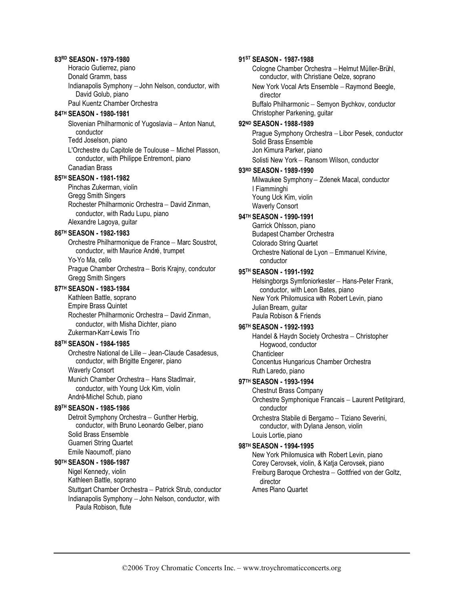#### **83RD SEASON- 1979-1980** Horacio Gutierrez, piano Donald Gramm, bass Indianapolis Symphony  $-$  John Nelson, conductor, with David Golub, piano Paul Kuentz Chamber Orchestra **84TH SEASON - 1980-1981** Slovenian Philharmonic of Yugoslavia - Anton Nanut, conductor Tedd Joselson, piano L'Orchestre du Capitole de Toulouse - Michel Plasson, conductor, with Philippe Entremont, piano Canadian Brass **85TH SEASON - 1981-1982** Pinchas Zukerman, violin Gregg Smith Singers Rochester Philharmonic Orchestra - David Zinman, conductor, with Radu Lupu, piano Alexandre Lagoya, guitar **86TH SEASON - 1982-1983** Orchestre Philharmonique de France - Marc Soustrot, conductor, with Maurice André, trumpet Yo-Yo Ma, cello Prague Chamber Orchestra - Boris Krajny, condcutor Gregg Smith Singers **87TH SEASON - 1983-1984** Kathleen Battle, soprano Empire Brass Quintet Rochester Philharmonic Orchestra - David Zinman, conductor, with Misha Dichter, piano Zukerman-Karr-Lewis Trio **88TH SEASON - 1984-1985** Orchestre National de Lille - Jean-Claude Casadesus, conductor, with Brigitte Engerer, piano Waverly Consort Munich Chamber Orchestra - Hans Stadlmair, conductor, with Young Uck Kim, violin André-Michel Schub, piano **89TH SEASON - 1985-1986** Detroit Symphony Orchestra - Gunther Herbig, conductor, with Bruno Leonardo Gelber, piano Solid Brass Ensemble Guarneri String Quartet Emile Naoumoff, piano **90TH SEASON - 1986-1987** Nigel Kennedy, violin Kathleen Battle, soprano Stuttgart Chamber Orchestra - Patrick Strub, conductor Indianapolis Symphony - John Nelson, conductor, with Paula Robison, flute **91ST SEASON - 1987-1988** Cologne Chamber Orchestra - Helmut Müller-Brühl, conductor, with Christiane Oelze, soprano New York Vocal Arts Ensemble - Raymond Beegle, Corey Cerovsek, violin, & Katja Cerovsek, piano Freiburg Baroque Orchestra - Gottfried von der Goltz, director Ames Piano Quartet

director Buffalo Philharmonic - Semyon Bychkov, conductor Christopher Parkening, guitar **92ND SEASON- 1988-1989** Prague Symphony Orchestra - Libor Pesek, conductor Solid Brass Ensemble Jon Kimura Parker, piano Solisti New York - Ransom Wilson, conductor **93RD SEASON- 1989-1990** Milwaukee Symphony - Zdenek Macal, conductor I Fiamminghi Young Uck Kim, violin Waverly Consort **94TH SEASON - 1990-1991** Garrick Ohlsson, piano Budapest Chamber Orchestra Colorado String Quartet Orchestre National de Lyon - Emmanuel Krivine, conductor **95TH SEASON - 1991-1992** Helsingborgs Symfoniorkester - Hans-Peter Frank, conductor, with Leon Bates, piano New York Philomusica with Robert Levin, piano Julian Bream, guitar Paula Robison & Friends **96TH SEASON - 1992-1993** Handel & Haydn Society Orchestra - Christopher Hogwood, conductor **Chanticleer** Concentus Hungaricus Chamber Orchestra Ruth Laredo, piano **97TH SEASON - 1993-1994** Chestnut Brass Company Orchestre Symphonique Francais - Laurent Petitgirard, conductor Orchestra Stabile di Bergamo - Tiziano Severini, conductor, with Dylana Jenson, violin Louis Lortie, piano **98TH SEASON - 1994-1995** New York Philomusica with Robert Levin, piano